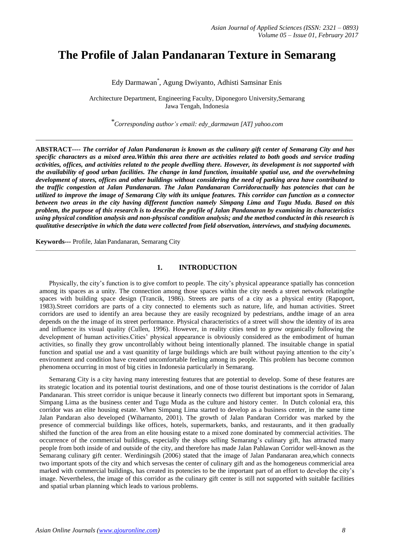# **The Profile of Jalan Pandanaran Texture in Semarang**

Edy Darmawan\* , Agung Dwiyanto, Adhisti Samsinar Enis

Architecture Department, Engineering Faculty, Diponegoro University,Semarang Jawa Tengah, Indonesia

*\*Corresponding author's email: edy\_darmawan [AT] yahoo.com*

\_\_\_\_\_\_\_\_\_\_\_\_\_\_\_\_\_\_\_\_\_\_\_\_\_\_\_\_\_\_\_\_\_\_\_\_\_\_\_\_\_\_\_\_\_\_\_\_\_\_\_\_\_\_\_\_\_\_\_\_\_\_\_\_\_\_\_\_\_\_\_\_\_\_\_\_\_\_\_\_\_\_\_\_\_\_\_\_\_\_\_\_\_\_\_\_

**ABSTRACT----** *The corridor of Jalan Pandanaran is known as the culinary gift center of Semarang City and has specific characters as a mixed area.Within this area there are activities related to both goods and service trading activities, offices, and activities related to the people dwelling there. However, its development is not supported with the availability of good urban facilities. The change in land function, insuitable spatial use, and the overwhelming development of stores, offices and other buildings without considering the need of parking area have contributed to the traffic congestion at Jalan Pandanaran. The Jalan Pandanaran Corridoractually has potencies that can be utilized to improve the image of Semarang City with its unique features. This corridor can function as a connector between two areas in the city having different function namely Simpang Lima and Tugu Muda. Based on this problem, the purpose of this research is to describe the profile of Jalan Pandanaran by examining its characteristics using physical condition analysis and non-physiscal condition analysis; and the method conducted in this research is qualitative desecriptive in which the data were collected from field observation, interviews, and studying documents.*

**Keywords---** Profile, Jalan Pandanaran, Semarang City

# **1. INTRODUCTION**

\_\_\_\_\_\_\_\_\_\_\_\_\_\_\_\_\_\_\_\_\_\_\_\_\_\_\_\_\_\_\_\_\_\_\_\_\_\_\_\_\_\_\_\_\_\_\_\_\_\_\_\_\_\_\_\_\_\_\_\_\_\_\_\_\_\_\_\_\_\_\_\_\_\_\_\_\_\_\_\_\_\_\_\_\_\_\_\_\_\_\_\_\_\_\_\_\_\_\_\_\_\_\_\_\_\_\_\_\_\_\_\_\_\_\_\_\_\_\_\_\_\_\_\_\_\_\_\_\_

Physically, the city's function is to give comfort to people. The city's physical appearance spatially has conncetion among its spaces as a unity. The connection among those spaces within the city needs a street network relatingthe spaces with building space design (Trancik, 1986). Streets are parts of a city as a physical entity (Rapoport, 1983).Street corridors are parts of a city connected to elements such as nature, life, and human activities. Street corridors are used to identify an area because they are easily recognized by pedestrians, andthe image of an area depends on the the image of its street performance. Physical characteristics of a street will show the identity of its area and influence its visual quality (Cullen, 1996). However, in reality cities tend to grow organically following the development of human activities.Cities' physical appearance is obviously considered as the embodiment of human activities, so finally they grow uncontrollably without being intentionally planned. The insuitable change in spatial function and spatial use and a vast quanitity of large buildings which are built without paying attention to the city's environment and condition have created uncomfortable feeling among its people. This problem has become common phenomena occurring in most of big cities in Indonesia particularly in Semarang.

Semarang City is a city having many interesting features that are potential to develop. Some of these features are its strategic location and its potential tourist destinations, and one of those tourist destinations is the corridor of Jalan Pandanaran. This street corridor is unique because it linearly connects two different but important spots in Semarang, Simpang Lima as the business center and Tugu Muda as the culture and history center. In Dutch colonial era, this corridor was an elite housing estate. When Simpang Lima started to develop as a business center, in the same time Jalan Pandaran also developed (Wiharnanto, 2001). The growth of Jalan Pandaran Corridor was marked by the presence of commercial buildings like offices, hotels, supermarkets, banks, and restaurants, and it then gradually shifted the function of the area from an elite housing estate to a mixed zone dominated by commercial activities. The occurrence of the commercial buildings, especially the shops selling Semarang's culinary gift, has attracted many people from both inside of and outside of the city, and therefore has made Jalan Pahlawan Corridor well-known as the Semarang culinary gift center. Werdiningsih (2006) stated that the image of Jalan Pandanaran area,which connects two important spots of the city and which servesas the center of culinary gift and as the homogeneus commericial area marked with commercial buildings, has created its potencies to be the important part of an effort to develop the city's image. Nevertheless, the image of this corridor as the culinary gift center is still not supported with suitable facilities and spatial urban planning which leads to various problems.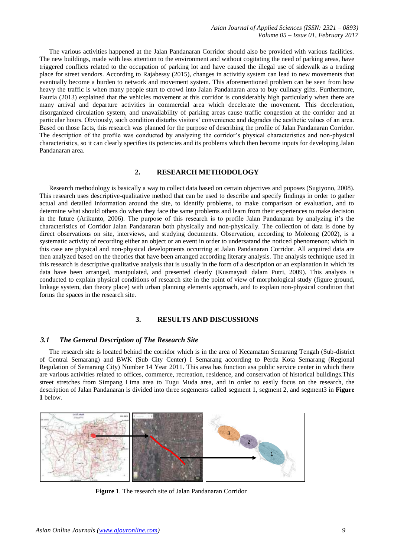The various activities happened at the Jalan Pandanaran Corridor should also be provided with various facilities. The new buildings, made with less attention to the environment and without cogitating the need of parking areas, have triggered conflicts related to the occupation of parking lot and have caused the illegal use of sidewalk as a trading place for street vendors. According to Rajabessy (2015), changes in activitiy system can lead to new movements that eventually become a burden to network and movement system. This aforementioned problem can be seen from how heavy the traffic is when many people start to crowd into Jalan Pandanaran area to buy culinary gifts. Furthermore, Fauzia (2013) explained that the vehicles movement at this corridor is considerably high particularly when there are many arrival and departure activities in commercial area which decelerate the movement. This deceleration, disorganized circulation system, and unavailability of parking areas cause traffic congestion at the corridor and at particular hours. Obviously, such condition disturbs visitors' convenience and degrades the aesthetic values of an area. Based on those facts, this research was planned for the purpose of describing the profile of Jalan Pandanaran Corridor. The description of the profile was conducted by analyzing the corridor's physical characteristics and non-physical characteristics, so it can clearly specifies its potencies and its problems which then become inputs for developing Jalan Pandanaran area.

## **2. RESEARCH METHODOLOGY**

Research methodology is basically a way to collect data based on certain objectives and puposes (Sugiyono, 2008). This research uses descriptive-qualitative method that can be used to describe and specify findings in order to gather actual and detailed information around the site, to identify problems, to make comparison or evaluation, and to determine what should others do when they face the same problems and learn from their experiences to make decision in the future (Arikunto, 2006). The purpose of this research is to profile Jalan Pandanaran by analyzing it's the characteristics of Corridor Jalan Pandanaran both physically and non-physically. The collection of data is done by direct observations on site, interviews, and studying documents. Observation, according to Moleong (2002), is a systematic activity of recording either an object or an event in order to undersatand the noticed phenomenon; which in this case are physical and non-physical developments occurring at Jalan Pandanaran Corridor. All acquired data are then analyzed based on the theories that have been arranged according literary analysis. The analysis technique used in this research is descriptive qualitative analysis that is usually in the form of a description or an explanation in which its data have been arranged, manipulated, and presented clearly (Kusmayadi dalam Putri, 2009). This analysis is conducted to explain physical conditions of research site in the point of view of morphological study (figure ground, linkage system, dan theory place) with urban planning elements approach, and to explain non-physical condition that forms the spaces in the research site.

## **3. RESULTS AND DISCUSSIONS**

## *3.1 The General Description of The Research Site*

The research site is located behind the corridor which is in the area of Kecamatan Semarang Tengah (Sub-district of Central Semarang) and BWK (Sub City Center) I Semarang according to Perda Kota Semarang (Regional Regulation of Semarang City) Number 14 Year 2011. This area has function asa public service center in which there are various activities related to offices, commerce, recreation, residence, and conservation of historical buildings.This street stretches from Simpang Lima area to Tugu Muda area, and in order to easily focus on the research, the description of Jalan Pandanaran is divided into three segements called segment 1, segment 2, and segment3 in **Figure 1** below.



**Figure 1**. The research site of Jalan Pandanaran Corridor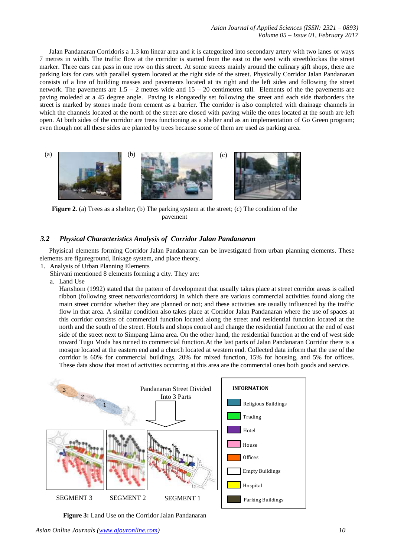*Asian Journal of Applied Sciences (ISSN: 2321 – 0893) Volume 05 – Issue 01, February 2017*

Jalan Pandanaran Corridoris a 1.3 km linear area and it is categorized into secondary artery with two lanes or ways 7 metres in width. The traffic flow at the corridor is started from the east to the west with streetblockas the street marker. Three cars can pass in one row on this street. At some streets mainly around the culinary gift shops, there are parking lots for cars with parallel system located at the right side of the street. Physically Corridor Jalan Pandanaran consists of a line of building masses and pavements located at its right and the left sides and following the street network. The pavements are  $1.5 - 2$  metres wide and  $15 - 20$  centimetres tall. Elements of the the pavements are paving moleded at a 45 degree angle. Paving is elongatedly set following the street and each side thatborders the street is marked by stones made from cement as a barrier. The corridor is also completed with drainage channels in which the channels located at the north of the street are closed with paving while the ones located at the south are left open. At both sides of the corridor are trees functioning as a shelter and as an implementation of Go Green program; even though not all these sides are planted by trees because some of them are used as parking area.



**Figure** 2. (a) Trees as a shelter; (b) The parking system at the street; (c) The condition of the pavement

# *3.2 Physical Characteristics Analysis of Corridor Jalan Pandanaran*

Phyisical elements forming Corridor Jalan Pandanaran can be investigated from urban planning elements. These elements are figureground, linkage system, and place theory*.* 

1. Analysis of Urban Planning Elements

Shirvani mentioned 8 elements forming a city. They are:

a. Land Use

Hartshorn (1992) stated that the pattern of development that usually takes place at street corridor areas is called ribbon (following street networks/corridors) in which there are various commercial activities found along the main street corridor whether they are planned or not; and these activities are usually influenced by the traffic flow in that area. A similar condition also takes place at Corridor Jalan Pandanaran where the use of spaces at this corridor consists of commercial function located along the street and residential function located at the north and the south of the street. Hotels and shops control and change the residential function at the end of east side of the street next to Simpang Lima area. On the other hand, the residential function at the end of west side toward Tugu Muda has turned to commercial function.At the last parts of Jalan Pandanaran Corridor there is a mosque located at the eastern end and a church located at western end. Collected data inform that the use of the corridor is 60% for commercial buildings, 20% for mixed function, 15% for housing, and 5% for offices. These data show that most of activities occurring at this area are the commercial ones both goods and service.



**Figure 3:** Land Use on the Corridor Jalan Pandanaran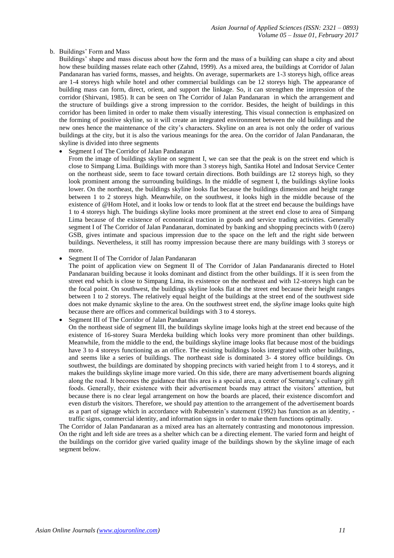## b. Buildings' Form and Mass

Buildings' shape and mass discuss about how the form and the mass of a building can shape a city and about how these building masses relate each other (Zahnd, 1999). As a mixed area, the buildings at Corridor of Jalan Pandanaran has varied forms, masses, and heights. On average, supermarkets are 1-3 storeys high, office areas are 1-4 storeys high while hotel and other commercial buildings can be 12 storeys high. The appearance of building mass can form, direct, orient, and support the linkage. So, it can strengthen the impression of the corridor (Shirvani, 1985). It can be seen on The Corridor of Jalan Pandanaran in which the arrangement and the structure of buildings give a strong impression to the corridor. Besides, the height of buildings in this corridor has been limited in order to make them visually interesting. This visual connection is emphasized on the forming of positive skyline, so it will create an integrated environment between the old buildings and the new ones hence the maintenance of the city's characters. Skyline on an area is not only the order of various buildings at the city, but it is also the various meanings for the area. On the corridor of Jalan Pandanaran, the skyline is divided into three segments

Segment I of The Corridor of Jalan Pandanaran

From the image of buildings skyline on segment I, we can see that the peak is on the street end which is close to Simpang Lima. Buildings with more than 3 storeys high, Santika Hotel and Indosat Service Center on the northeast side, seem to face toward certain directions. Both buildings are 12 storeys high, so they look prominent among the surrounding buildings. In the middle of segment I, the buildings skyline looks lower. On the northeast, the buildings skyline looks flat because the buildings dimension and height range between 1 to 2 storeys high. Meanwhile, on the southwest, it looks high in the middle because of the existence of @Hom Hotel, and it looks low or tends to look flat at the street end because the buildings have 1 to 4 storeys high. The buidings skyline looks more prominent at the street end close to area of Simpang Lima because of the existence of economical traction in goods and service trading activities. Generally segment I of The Corridor of Jalan Pandanaran, dominated by banking and shopping precincts with 0 (zero) GSB, gives intimate and spacious impression due to the space on the left and the right side between buildings. Nevertheless, it still has roomy impression because there are many buildings with 3 storeys or more.

Segment II of The Corridor of Jalan Pandanaran

The point of application view on Segment II of The Corridor of Jalan Pandanaranis directed to Hotel Pandanaran building because it looks dominant and distinct from the other buildings. If it is seen from the street end which is close to Simpang Lima, its existence on the northeast and with 12-storeys high can be the focal point. On southwest, the buildings skyline looks flat at the street end because their height ranges between 1 to 2 storeys. The relatively equal height of the buildings at the street end of the southwest side does not make dynamic skyline to the area. On the southwest street end, the *skyline* image looks quite high because there are offices and commerical buildings with 3 to 4 storeys.

Segment III of The Corridor of Jalan Pandanaran

On the northeast side of segment III, the buildings skyline image looks high at the street end because of the existence of 16-storey Suara Merdeka building which looks very more prominent than other buildings. Meanwhile, from the middle to the end, the buildings skyline image looks flat because most of the buidings have 3 to 4 storeys functioning as an office. The existing buildings looks intergrated with other buildings, and seems like a series of buildings. The northeast side is dominated 3- 4 storey office buildings. On southwest, the buildings are dominated by shopping precincts with varied height from 1 to 4 storeys, and it makes the buildings skyline image more varied. On this side, there are many advertisement boards aligning along the road. It becomes the guidance that this area is a special area, a center of Semarang's culinary gift foods. Generally, their existence with their advertisement boards may attract the visitors' attention, but because there is no clear legal arrangement on how the boards are placed, their existence discomfort and even disturb the visitors. Therefore, we should pay attention to the arrangement of the advertisement boards as a part of signage which in accordance with Rubenstein's statement (1992) has function as an identity, traffic signs, commercial identity, and information signs in order to make them functions optimally.

The Corridor of Jalan Pandanaran as a mixed area has an alternately contrasting and monotonous impression. On the right and left side are trees as a shelter which can be a directing element. The varied form and height of the buildings on the corridor give varied quality image of the buildings shown by the skyline image of each segment below.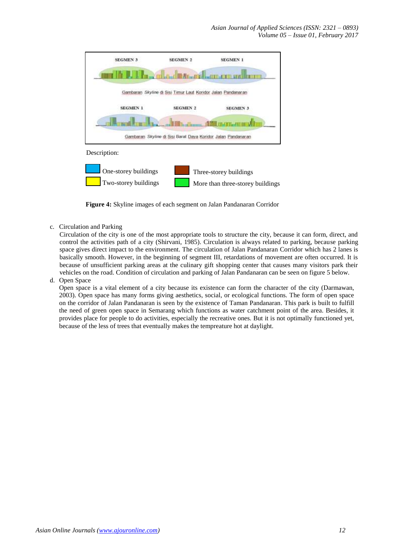*Asian Journal of Applied Sciences (ISSN: 2321 – 0893) Volume 05 – Issue 01, February 2017*



**Figure 4:** Skyline images of each segment on Jalan Pandanaran Corridor

c. Circulation and Parking

Circulation of the city is one of the most appropriate tools to structure the city, because it can form, direct, and control the activities path of a city (Shirvani, 1985). Circulation is always related to parking, because parking space gives direct impact to the environment. The circulation of Jalan Pandanaran Corridor which has 2 lanes is basically smooth. However, in the beginning of segment III, retardations of movement are often occurred. It is because of unsufficient parking areas at the culinary gift shopping center that causes many visitors park their vehicles on the road. Condition of circulation and parking of Jalan Pandanaran can be seen on figure 5 below.

d. Open Space

Open space is a vital element of a city because its existence can form the character of the city (Darmawan, 2003). Open space has many forms giving aesthetics, social, or ecological functions. The form of open space on the corridor of Jalan Pandanaran is seen by the existence of Taman Pandanaran. This park is built to fulfill the need of green open space in Semarang which functions as water catchment point of the area. Besides, it provides place for people to do activities, especially the recreative ones. But it is not optimally functioned yet, because of the less of trees that eventually makes the tempreature hot at daylight.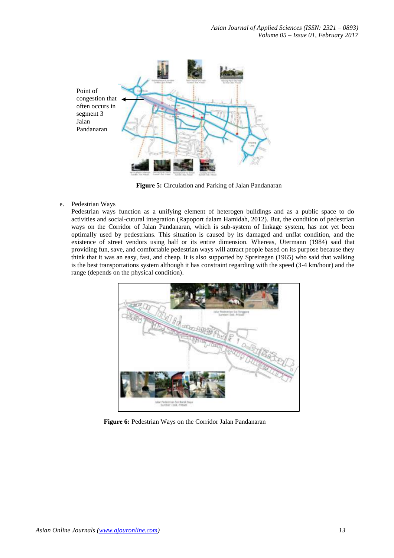

**Figure 5:** Circulation and Parking of Jalan Pandanaran

e. Pedestrian Ways

Pedestrian ways function as a unifying element of heterogen buildings and as a public space to do activities and social-cutural integration (Rapoport dalam Hamidah, 2012). But, the condition of pedestrian ways on the Corridor of Jalan Pandanaran, which is sub-system of linkage system, has not yet been optimally used by pedestrians. This situation is caused by its damaged and unflat condition, and the existence of street vendors using half or its entire dimension. Whereas, Utermann (1984) said that providing fun, save, and comfortable pedestrian ways will attract people based on its purpose because they think that it was an easy, fast, and cheap. It is also supported by Spreiregen (1965) who said that walking is the best transportations system although it has constraint regarding with the speed (3-4 km/hour) and the range (depends on the physical condition).



**Figure 6:** Pedestrian Ways on the Corridor Jalan Pandanaran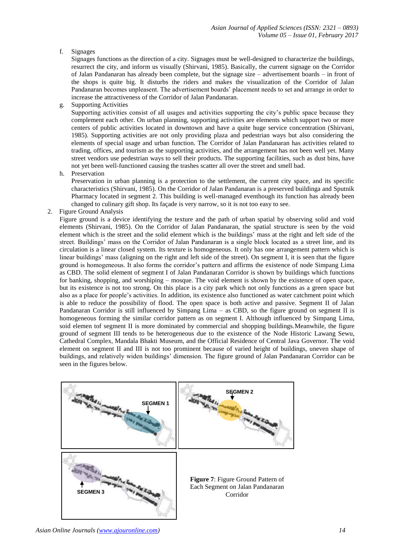f. Signages

Signages functions as the direction of a city. Signages must be well-designed to characterize the buildings, resurrect the city, and inform us visually (Shirvani, 1985). Basically, the current signage on the Corridor of Jalan Pandanaran has already been complete, but the signage size – advertisement boards – in front of the shops is quite big. It disturbs the riders and makes the visualization of the Corridor of Jalan Pandanaran becomes unpleasent. The advertisement boards' placement needs to set and arrange in order to increase the attractiveness of the Corridor of Jalan Pandanaran.

g. Supporting Activities

Supporting activities consist of all usages and activities supporting the city's public space because they complement each other. On urban planning, supporting activities are elements which support two or more centers of public activities located in downtown and have a quite huge service concentration (Shirvani, 1985). Supporting activities are not only providing plaza and pedestrian ways but also considering the elements of special usage and urban function. The Corridor of Jalan Pandanaran has activities related to trading, offices, and tourism as the supporting activities, and the arrangement has not been well yet. Many street vendors use pedestrian ways to sell their products. The supporting facilities, such as dust bins, have not yet been well-functioned causing the trashes scatter all over the street and smell bad.

h. Preservation

Preservation in urban planning is a protection to the settlement, the current city space, and its specific characteristics (Shirvani, 1985). On the Corridor of Jalan Pandanaran is a preserved buildinga and Sputnik Pharmacy located in segment 2. This building is well-managed eventhough its function has already been changed to culinary gift shop. Its façade is very narrow, so it is not too easy to see.

2. Figure Ground Analysis

Figure ground is a device identifying the texture and the path of urban spatial by observing solid and void elements (Shirvani, 1985). On the Corridor of Jalan Pandanaran, the spatial structure is seen by the void element which is the street and the solid element which is the buildings' mass at the right and left side of the street. Buildings' mass on the Corridor of Jalan Pandanaran is a single block located as a street line, and its circulation is a linear closed system. Its texture is homogeneous. It only has one arrangement pattern which is linear buildings' mass (aligning on the right and left side of the street). On segment I, it is seen that the figure ground is homogeneous. It also forms the corridor's pattern and affirms the existence of node Simpang Lima as CBD. The solid element of segment I of Jalan Pandanaran Corridor is shown by buildings which functions for banking, shopping, and worshiping – mosque. The void element is shown by the existence of open space, but its existence is not too strong. On this place is a city park which not only functions as a green space but also as a place for people's activities. In addition, its existence also functioned as water catchment point which is able to reduce the possibility of flood. The open space is both active and passive. Segment II of Jalan Pandanaran Corridor is still influenced by Simpang Lima – as CBD, so the figure ground on segment II is homogeneous forming the similar corridor pattern as on segment I. Although influenced by Simpang Lima, soid elemen tof segment II is more dominated by commercial and shopping buildings*.*Meanwhile, the figure ground of segment III tends to be heterogeneous due to the existence of the Node Historic Lawang Sewu, Cathedral Complex, Mandala Bhakti Museum, and the Official Residence of Central Java Governor. The void element on segment II and III is not too prominent because of varied height of buildings, uneven shape of buildings, and relatively widen buildings' dimension. The figure ground of Jalan Pandanaran Corridor can be seen in the figures below.

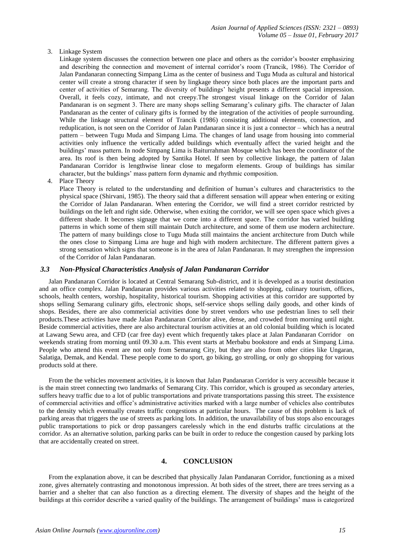3. Linkage System

Linkage system discusses the connection between one place and others as the corridor's booster emphasizing and describing the connection and movement of internal corridor's room (Trancik, 1986). The Corridor of Jalan Pandanaran connecting Simpang Lima as the center of business and Tugu Muda as cultural and historical center will create a strong character if seen by lingkage theory since both places are the important parts and center of activities of Semarang. The diversity of buildings' height presents a different spacial impression. Overall, it feels cozy, intimate, and not creepy.The strongest visual linkage on the Corridor of Jalan Pandanaran is on segment 3. There are many shops selling Semarang's culinary gifts. The character of Jalan Pandanaran as the center of culinary gifts is formed by the integration of the activities of people surrounding. While the linkage structural element of Trancik (1986) consisting additional elements, connection, and reduplication, is not seen on the Corridor of Jalan Pandanaran since it is just a connector – which has a neutral pattern – between Tugu Muda and Simpang Lima. The changes of land usage from housing into commerial activities only influence the vertically added buildings which eventually affect the varied height and the buildings' mass pattern. In node Simpang Lima is Baiturrahman Mosque which has been the coordinator of the area. Its roof is then being adopted by Santika Hotel. If seen by collective linkage, the pattern of Jalan Pandanaran Corridor is lengthwise linear close to megaform elements. Group of buildings has similar character, but the buldings' mass pattern form dynamic and rhythmic composition.

4. Place Theory

Place Theory is related to the understanding and definition of human's cultures and characteristics to the physical space (Shirvani, 1985). The theory said that a different sensation will appear when entering or exiting the Corridor of Jalan Pandanaran. When entering the Corridor, we will find a street corridor restricted by buildings on the left and right side. Otherwise, when exiting the corridor, we will see open space which gives a different shade. It becomes signage that we come into a different space. The corridor has varied building patterns in which some of them still maintain Dutch architecture, and some of them use modern architecture. The pattern of many buildings close to Tugu Muda still maintains the ancient architecture from Dutch while the ones close to Simpang Lima are huge and high with modern architecture. The different pattern gives a strong sensation which signs that someone is in the area of Jalan Pandanaran. It may strengthen the impression of the Corridor of Jalan Pandanaran.

#### *3.3 Non-Physical Characteristics Analysis of Jalan Pandanaran Corridor*

Jalan Pandanaran Corridor is located at Central Semarang Sub-district, and it is developed as a tourist destination and an office complex. Jalan Pandanaran provides various activities related to shopping, culinary tourism, offices, schools, health centers, worship, hospitality, historical tourism. Shopping activities at this corridor are supported by shops selling Semarang culinary gifts, electronic shops, self-service shops selling daily goods, and other kinds of shops. Besides, there are also commericial activities done by street vendors who use pedestrian lines to sell their products.These activities have made Jalan Pandanaran Corridor alive, dense, and crowded from morning until night. Beside commercial activities, there are also architectural tourism activities at an old colonial building which is located at Lawang Sewu area, and CFD (car free day) event which frequently takes place at Jalan Pandanaran Corridor on weekends strating from morning until 09.30 a.m. This event starts at Merbabu bookstore and ends at Simpang Lima. People who attend this event are not only from Semarang City, but they are also from other cities like Ungaran, Salatiga, Demak, and Kendal. These people come to do sport, go biking, go strolling, or only go shopping for various products sold at there.

From the the vehicles movement activities, it is known that Jalan Pandanaran Corridor is very accessible because it is the main street connecting two landmarks of Semarang City. This corridor, which is grouped as secondary arteries, suffers heavy traffic due to a lot of public transportations and private transportations passing this street. The exsistence of commercial activities and office's administrative activities marked with a large number of vehicles also contributes to the density which eventually creates traffic congestions at particular hours. The cause of this problem is lack of parking areas that triggers the use of streets as parking lots. In addition, the unavailability of bus stops also encourages public transportations to pick or drop passangers carelessly which in the end disturbs traffic circulations at the corridor. As an alternative solution, parking parks can be built in order to reduce the congestion caused by parking lots that are accidentally created on street.

## **4. CONCLUSION**

From the explanation above, it can be described that physically Jalan Pandanaran Corridor, functioning as a mixed zone, gives alternately contrasting and monotonous impression. At both sides of the street, there are trees serving as a barrier and a shelter that can also function as a directing element. The diversity of shapes and the height of the buildings at this corridor describe a varied quality of the buildings. The arrangement of buildings' mass is categorized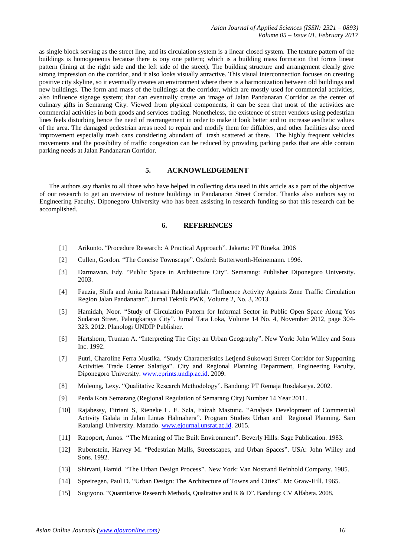as single block serving as the street line, and its circulation system is a linear closed system. The texture pattern of the buildings is homogeneous because there is ony one pattern; which is a building mass formation that forms linear pattern (lining at the right side and the left side of the street). The building structure and arrangement clearly give strong impression on the corridor, and it also looks visually attractive. This visual interconnection focuses on creating positive city skyline, so it eventually creates an environment where there is a harmonization between old buildings and new buildings. The form and mass of the buildings at the corridor, which are mostly used for commercial activities, also influence signage system; that can eventually create an image of Jalan Pandanaran Corridor as the center of culinary gifts in Semarang City. Viewed from physical components, it can be seen that most of the activities are commercial activities in both goods and services trading. Nonetheless, the existence of street vendors using pedestrian lines feels disturbing hence the need of rearrangement in order to make it look better and to increase aesthetic values of the area. The damaged pedestrian areas need to repair and modify them for diffables, and other facilities also need improvement especially trash cans considering abundant of trash scattered at there. The highly frequent vehicles movements and the possibility of traffic congestion can be reduced by providing parking parks that are able contain parking needs at Jalan Pandanaran Corridor.

# **5. ACKNOWLEDGEMENT**

The authors say thanks to all those who have helped in collecting data used in this article as a part of the objective of our research to get an overview of texture buildings in Pandanaran Street Corridor. Thanks also authors say to Engineering Faculty, Diponegoro University who has been assisting in research funding so that this research can be accomplished.

## **6. REFERENCES**

- [1] Arikunto. "Procedure Research: A Practical Approach". Jakarta: PT Rineka. 2006
- [2] Cullen, Gordon. "The Concise Townscape". Oxford: Butterworth-Heinemann. 1996.
- [3] Darmawan, Edy. "Public Space in Architecture City". Semarang: Publisher Diponegoro University. 2003.
- [4] Fauzia, Shifa and Anita Ratnasari Rakhmatullah. "Influence Activity Againts Zone Traffic Circulation Region Jalan Pandanaran". Jurnal Teknik PWK, Volume 2, No. 3, 2013.
- [5] Hamidah, Noor. "Study of Circulation Pattern for Informal Sector in Public Open Space Along Yos Sudarso Street, Palangkaraya City". Jurnal Tata Loka, Volume 14 No. 4, November 2012, page 304- 323. 2012. Planologi UNDIP Publisher.
- [6] Hartshorn, Truman A. "Interpreting The City: an Urban Geography". New York: John Willey and Sons Inc. 1992.
- [7] Putri, Charoline Ferra Mustika. "Study Characteristics Letjend Sukowati Street Corridor for Supporting Activities Trade Center Salatiga". City and Regional Planning Department, Engineering Faculty, Diponegoro University. [www.eprints.undip.ac.id.](http://www.eprints.undip.ac.id/) 2009.
- [8] Moleong, Lexy. "Qualitative Research Methodology". Bandung: PT Remaja Rosdakarya. 2002.
- [9] Perda Kota Semarang (Regional Regulation of Semarang City) Number 14 Year 2011.
- [10] Rajabessy, Fitriani S, Rieneke L. E. Sela, Faizah Mastutie. "Analysis Development of Commercial Activity Galala in Jalan Lintas Halmahera". Program Studies Urban and Regional Planning. Sam Ratulangi University. Manado. [www.ejournal.unsrat.ac.id.](http://www.ejournal.unsrat.ac.id/) 2015.
- [11] Rapoport, Amos. "The Meaning of The Built Environment". Beverly Hills: Sage Publication. 1983.
- [12] Rubenstein, Harvey M. "Pedestrian Malls, Streetscapes, and Urban Spaces". USA: John Wiiley and Sons. 1992.
- [13] Shirvani, Hamid. "The Urban Design Process". New York: Van Nostrand Reinhold Company. 1985.
- [14] Spreiregen, Paul D. "Urban Design: The Architecture of Towns and Cities". Mc Graw-Hill. 1965.
- [15] Sugiyono. "Quantitative Research Methods, Qualitative and R & D". Bandung: CV Alfabeta. 2008.